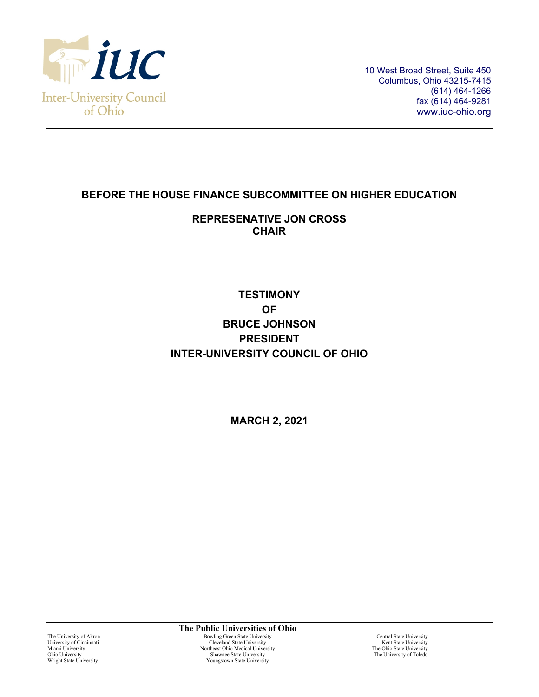

10 West Broad Street, Suite 450 Columbus, Ohio 43215-7415 (614) 464-1266 fax (614) 464-9281 www.iuc-ohio.org

## **BEFORE THE HOUSE FINANCE SUBCOMMITTEE ON HIGHER EDUCATION**

## **REPRESENATIVE JON CROSS CHAIR**

# **TESTIMONY OF BRUCE JOHNSON PRESIDENT INTER-UNIVERSITY COUNCIL OF OHIO**

**MARCH 2, 2021**

**The Public Universities of Ohio** The University of Akron **Bowling Green State University**<br>
Cleveland State University Coversity Central State University<br>
Cleveland State University Central State University Kent State University University of Cincinnati Cleveland State University Cleveland State University Miami University Kent State University Northeast Ohio Medical University The Ohio State University Miami University<br>
Miami University<br>
Miami University<br>
Miami University<br>
Miami University<br>
The Ohio State University<br>
Miami University<br>
The Ohio State University<br>
The University<br>
The University<br>
The University<br>
The Universi Shawnee State University Youngstown State University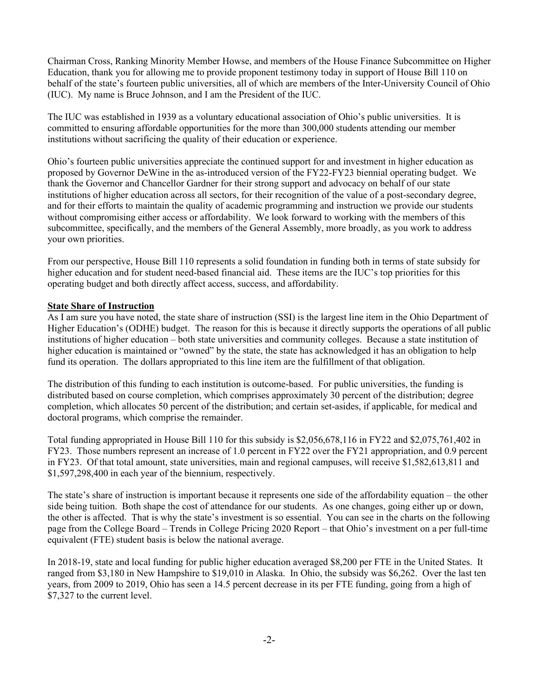Chairman Cross, Ranking Minority Member Howse, and members of the House Finance Subcommittee on Higher Education, thank you for allowing me to provide proponent testimony today in support of House Bill 110 on behalf of the state's fourteen public universities, all of which are members of the Inter-University Council of Ohio (IUC). My name is Bruce Johnson, and I am the President of the IUC.

The IUC was established in 1939 as a voluntary educational association of Ohio's public universities. It is committed to ensuring affordable opportunities for the more than 300,000 students attending our member institutions without sacrificing the quality of their education or experience.

Ohio's fourteen public universities appreciate the continued support for and investment in higher education as proposed by Governor DeWine in the as-introduced version of the FY22-FY23 biennial operating budget. We thank the Governor and Chancellor Gardner for their strong support and advocacy on behalf of our state institutions of higher education across all sectors, for their recognition of the value of a post-secondary degree, and for their efforts to maintain the quality of academic programming and instruction we provide our students without compromising either access or affordability. We look forward to working with the members of this subcommittee, specifically, and the members of the General Assembly, more broadly, as you work to address your own priorities.

From our perspective, House Bill 110 represents a solid foundation in funding both in terms of state subsidy for higher education and for student need-based financial aid. These items are the IUC's top priorities for this operating budget and both directly affect access, success, and affordability.

#### **State Share of Instruction**

As I am sure you have noted, the state share of instruction (SSI) is the largest line item in the Ohio Department of Higher Education's (ODHE) budget. The reason for this is because it directly supports the operations of all public institutions of higher education – both state universities and community colleges. Because a state institution of higher education is maintained or "owned" by the state, the state has acknowledged it has an obligation to help fund its operation. The dollars appropriated to this line item are the fulfillment of that obligation.

The distribution of this funding to each institution is outcome-based. For public universities, the funding is distributed based on course completion, which comprises approximately 30 percent of the distribution; degree completion, which allocates 50 percent of the distribution; and certain set-asides, if applicable, for medical and doctoral programs, which comprise the remainder.

Total funding appropriated in House Bill 110 for this subsidy is \$2,056,678,116 in FY22 and \$2,075,761,402 in FY23. Those numbers represent an increase of 1.0 percent in FY22 over the FY21 appropriation, and 0.9 percent in FY23. Of that total amount, state universities, main and regional campuses, will receive \$1,582,613,811 and \$1,597,298,400 in each year of the biennium, respectively.

The state's share of instruction is important because it represents one side of the affordability equation – the other side being tuition. Both shape the cost of attendance for our students. As one changes, going either up or down, the other is affected. That is why the state's investment is so essential. You can see in the charts on the following page from the College Board – Trends in College Pricing 2020 Report – that Ohio's investment on a per full-time equivalent (FTE) student basis is below the national average.

In 2018-19, state and local funding for public higher education averaged \$8,200 per FTE in the United States. It ranged from \$3,180 in New Hampshire to \$19,010 in Alaska. In Ohio, the subsidy was \$6,262. Over the last ten years, from 2009 to 2019, Ohio has seen a 14.5 percent decrease in its per FTE funding, going from a high of \$7,327 to the current level.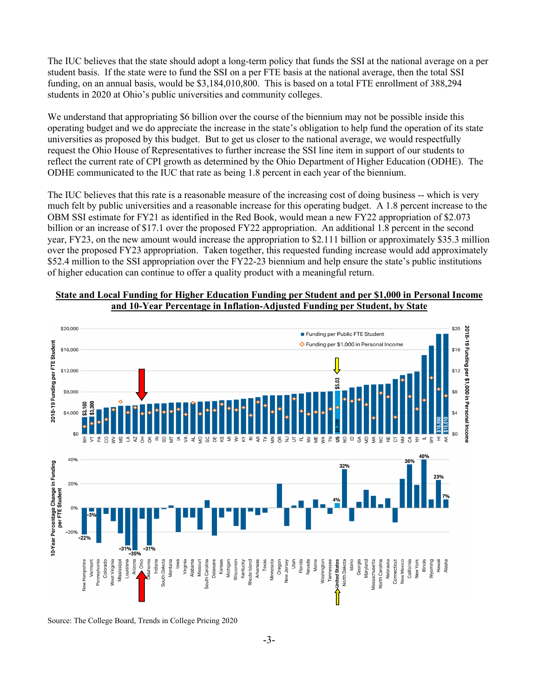The IUC believes that the state should adopt a long-term policy that funds the SSI at the national average on a per student basis. If the state were to fund the SSI on a per FTE basis at the national average, then the total SSI funding, on an annual basis, would be \$3,184,010,800. This is based on a total FTE enrollment of 388,294 students in 2020 at Ohio's public universities and community colleges.

We understand that appropriating \$6 billion over the course of the biennium may not be possible inside this operating budget and we do appreciate the increase in the state's obligation to help fund the operation of its state universities as proposed by this budget. But to get us closer to the national average, we would respectfully request the Ohio House of Representatives to further increase the SSI line item in support of our students to reflect the current rate of CPI growth as determined by the Ohio Department of Higher Education (ODHE). The ODHE communicated to the IUC that rate as being 1.8 percent in each year of the biennium.

The IUC believes that this rate is a reasonable measure of the increasing cost of doing business -- which is very much felt by public universities and a reasonable increase for this operating budget. A 1.8 percent increase to the OBM SSI estimate for FY21 as identified in the Red Book, would mean a new FY22 appropriation of \$2.073 billion or an increase of \$17.1 over the proposed FY22 appropriation. An additional 1.8 percent in the second year, FY23, on the new amount would increase the appropriation to \$2.111 billion or approximately \$35.3 million over the proposed FY23 appropriation. Taken together, this requested funding increase would add approximately \$52.4 million to the SSI appropriation over the FY22-23 biennium and help ensure the state's public institutions of higher education can continue to offer a quality product with a meaningful return.





Source: The College Board, Trends in College Pricing 2020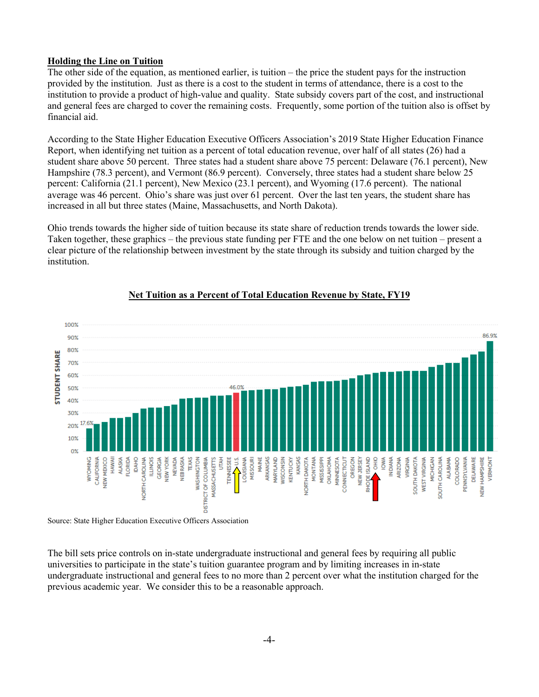#### **Holding the Line on Tuition**

The other side of the equation, as mentioned earlier, is tuition – the price the student pays for the instruction provided by the institution. Just as there is a cost to the student in terms of attendance, there is a cost to the institution to provide a product of high-value and quality. State subsidy covers part of the cost, and instructional and general fees are charged to cover the remaining costs. Frequently, some portion of the tuition also is offset by financial aid.

According to the State Higher Education Executive Officers Association's 2019 State Higher Education Finance Report, when identifying net tuition as a percent of total education revenue, over half of all states (26) had a student share above 50 percent. Three states had a student share above 75 percent: Delaware (76.1 percent), New Hampshire (78.3 percent), and Vermont (86.9 percent). Conversely, three states had a student share below 25 percent: California (21.1 percent), New Mexico (23.1 percent), and Wyoming (17.6 percent). The national average was 46 percent. Ohio's share was just over 61 percent. Over the last ten years, the student share has increased in all but three states (Maine, Massachusetts, and North Dakota).

Ohio trends towards the higher side of tuition because its state share of reduction trends towards the lower side. Taken together, these graphics – the previous state funding per FTE and the one below on net tuition – present a clear picture of the relationship between investment by the state through its subsidy and tuition charged by the institution.



### **Net Tuition as a Percent of Total Education Revenue by State, FY19**

Source: State Higher Education Executive Officers Association

The bill sets price controls on in-state undergraduate instructional and general fees by requiring all public universities to participate in the state's tuition guarantee program and by limiting increases in in-state undergraduate instructional and general fees to no more than 2 percent over what the institution charged for the previous academic year. We consider this to be a reasonable approach.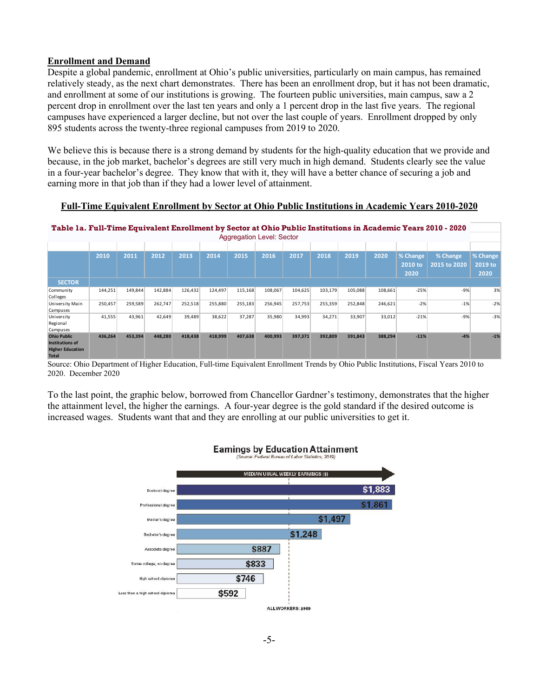#### **Enrollment and Demand**

Despite a global pandemic, enrollment at Ohio's public universities, particularly on main campus, has remained relatively steady, as the next chart demonstrates. There has been an enrollment drop, but it has not been dramatic, and enrollment at some of our institutions is growing. The fourteen public universities, main campus, saw a 2 percent drop in enrollment over the last ten years and only a 1 percent drop in the last five years. The regional campuses have experienced a larger decline, but not over the last couple of years. Enrollment dropped by only 895 students across the twenty-three regional campuses from 2019 to 2020.

We believe this is because there is a strong demand by students for the high-quality education that we provide and because, in the job market, bachelor's degrees are still very much in high demand. Students clearly see the value in a four-year bachelor's degree. They know that with it, they will have a better chance of securing a job and earning more in that job than if they had a lower level of attainment.

**Full-Time Equivalent Enrollment by Sector at Ohio Public Institutions in Academic Years 2010-2020**

**Table 1a. Full-Time Equivalent Enrollment by Sector at Ohio Public Institutions in Academic Years 2010 - 2020** Aggregation Level: Sector

|                                                                                  | 2010    | 2011    | 2012    | 2013    | 2014    | 2015    | 2016    | 2017    | 2018    | 2019    | 2020    | % Change<br>2010 to | % Change<br>2015 to 2020 | % Change<br>2019 to |
|----------------------------------------------------------------------------------|---------|---------|---------|---------|---------|---------|---------|---------|---------|---------|---------|---------------------|--------------------------|---------------------|
|                                                                                  |         |         |         |         |         |         |         |         |         |         |         | 2020                |                          | 2020                |
| <b>SECTOR</b>                                                                    |         |         |         |         |         |         |         |         |         |         |         |                     |                          |                     |
| Community<br>Colleges                                                            | 144,251 | 149,844 | 142,884 | 126,432 | 124,497 | 115,168 | 108,067 | 104,625 | 103,179 | 105,088 | 108,661 | $-25%$              | $-9%$                    | 3%                  |
| University Main<br>Campuses                                                      | 250,457 | 259,589 | 262,747 | 252,518 | 255,880 | 255,183 | 256,945 | 257,753 | 255,359 | 252,848 | 246,621 | $-2%$               | $-1%$                    | $-2%$               |
| University<br>Regional<br>Campuses                                               | 41,555  | 43.961  | 42.649  | 39.489  | 38,622  | 37,287  | 35,980  | 34.993  | 34,271  | 33.907  | 33.012  | $-21%$              | $-9%$                    | $-3%$               |
| <b>Ohio Public</b><br>Institutions of<br><b>Higher Education</b><br><b>Total</b> | 436,264 | 453,394 | 448,280 | 418,438 | 418,999 | 407,638 | 400,993 | 397,371 | 392,809 | 391,843 | 388,294 | $-11%$              | $-4%$                    | $-1%$               |

Source: Ohio Department of Higher Education, Full-time Equivalent Enrollment Trends by Ohio Public Institutions, Fiscal Years 2010 to 2020. December 2020

To the last point, the graphic below, borrowed from Chancellor Gardner's testimony, demonstrates that the higher the attainment level, the higher the earnings. A four-year degree is the gold standard if the desired outcome is increased wages. Students want that and they are enrolling at our public universities to get it.

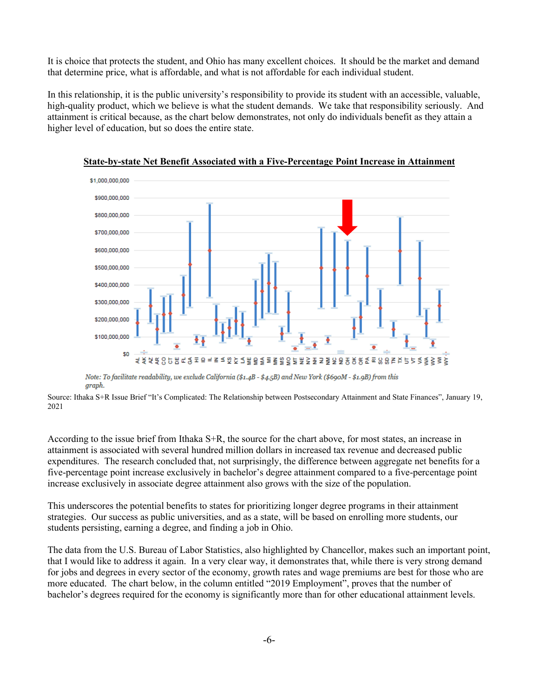It is choice that protects the student, and Ohio has many excellent choices. It should be the market and demand that determine price, what is affordable, and what is not affordable for each individual student.

In this relationship, it is the public university's responsibility to provide its student with an accessible, valuable, high-quality product, which we believe is what the student demands. We take that responsibility seriously. And attainment is critical because, as the chart below demonstrates, not only do individuals benefit as they attain a higher level of education, but so does the entire state.



**State-by-state Net Benefit Associated with a Five-Percentage Point Increase in Attainment**

Note: To facilitate readability, we exclude California (\$1.4B - \$4.5B) and New York (\$690M - \$1.9B) from this araph.

Source: Ithaka S+R Issue Brief "It's Complicated: The Relationship between Postsecondary Attainment and State Finances", January 19, 2021

According to the issue brief from Ithaka S+R, the source for the chart above, for most states, an increase in attainment is associated with several hundred million dollars in increased tax revenue and decreased public expenditures. The research concluded that, not surprisingly, the difference between aggregate net benefits for a five-percentage point increase exclusively in bachelor's degree attainment compared to a five-percentage point increase exclusively in associate degree attainment also grows with the size of the population.

This underscores the potential benefits to states for prioritizing longer degree programs in their attainment strategies. Our success as public universities, and as a state, will be based on enrolling more students, our students persisting, earning a degree, and finding a job in Ohio.

The data from the U.S. Bureau of Labor Statistics, also highlighted by Chancellor, makes such an important point, that I would like to address it again. In a very clear way, it demonstrates that, while there is very strong demand for jobs and degrees in every sector of the economy, growth rates and wage premiums are best for those who are more educated. The chart below, in the column entitled "2019 Employment", proves that the number of bachelor's degrees required for the economy is significantly more than for other educational attainment levels.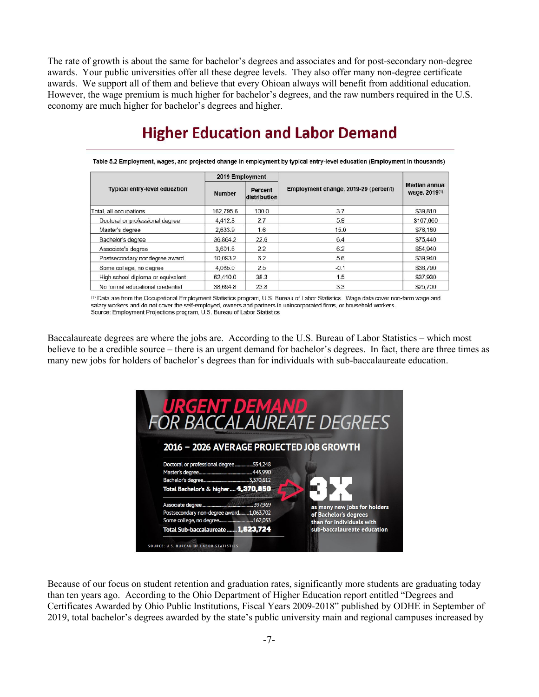The rate of growth is about the same for bachelor's degrees and associates and for post-secondary non-degree awards. Your public universities offer all these degree levels. They also offer many non-degree certificate awards. We support all of them and believe that every Ohioan always will benefit from additional education. However, the wage premium is much higher for bachelor's degrees, and the raw numbers required in the U.S. economy are much higher for bachelor's degrees and higher.

#### Table 5.2 Employment, wages, and projected change in employment by typical entry-level education (Employment in thousands) 2019 Employment **Median annual** Employment change, 2019-29 (percent) Typical entry-level education Percent wage, 2019(1) **Number** distribution Total, all occupations 162,795.6 100.0  $3.7$ \$39,810 Doctoral or professional degree 4,412.8 2.7 5.9 \$107.660 Master's degree 2,633.9 1.6 15.0 \$76,180 Bachelor's degree 36.864.2  $22.6$ 6.4 \$75,440  $2.2$ Associate's degree 3,601.6 6.2 \$54,940 Postsecondary nondegree award 5.6 10,093.2  $6.2$ \$39,940 2.5  $-0.1$ 4.085.0 \$36,790 Some college, no degree 38.3  $1.5$ 62,410.0 \$37,930 High school diploma or equivalent 38,694.8 23.8 3.3 No formal educational credential \$25,700

**Higher Education and Labor Demand** 

(1) Data are from the Occupational Employment Statistics program, U.S. Bureau of Labor Statistics. Wage data cover non-farm wage and salary workers and do not cover the self-employed, owners and partners in unincorporated firms, or household workers. Source: Employment Projections program, U.S. Bureau of Labor Statistics

Baccalaureate degrees are where the jobs are. According to the U.S. Bureau of Labor Statistics – which most believe to be a credible source – there is an urgent demand for bachelor's degrees. In fact, there are three times as many new jobs for holders of bachelor's degrees than for individuals with sub-baccalaureate education.



Because of our focus on student retention and graduation rates, significantly more students are graduating today than ten years ago. According to the Ohio Department of Higher Education report entitled "Degrees and Certificates Awarded by Ohio Public Institutions, Fiscal Years 2009-2018" published by ODHE in September of 2019, total bachelor's degrees awarded by the state's public university main and regional campuses increased by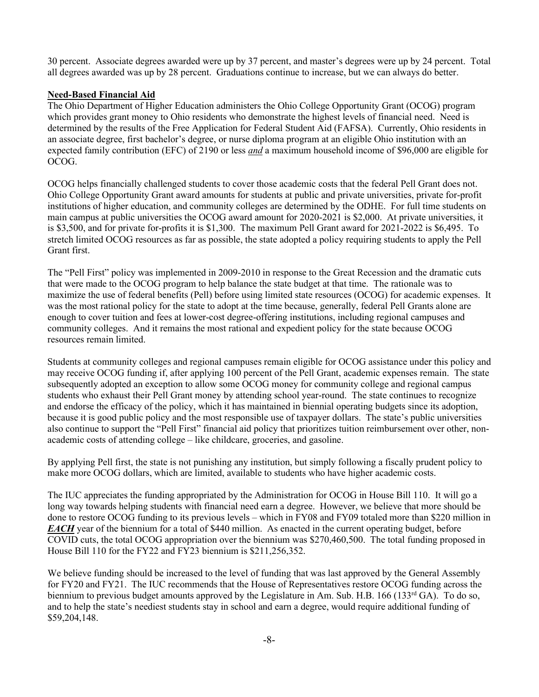30 percent. Associate degrees awarded were up by 37 percent, and master's degrees were up by 24 percent. Total all degrees awarded was up by 28 percent. Graduations continue to increase, but we can always do better.

#### **Need-Based Financial Aid**

The Ohio Department of Higher Education administers the Ohio College Opportunity Grant (OCOG) program which provides grant money to Ohio residents who demonstrate the highest levels of financial need. Need is determined by the results of the Free Application for Federal Student Aid (FAFSA). Currently, Ohio residents in an associate degree, first bachelor's degree, or nurse diploma program at an eligible Ohio institution with an expected family contribution (EFC) of 2190 or less *and* a maximum household income of \$96,000 are eligible for OCOG.

OCOG helps financially challenged students to cover those academic costs that the federal Pell Grant does not. Ohio College Opportunity Grant award amounts for students at public and private universities, private for-profit institutions of higher education, and community colleges are determined by the ODHE. For full time students on main campus at public universities the OCOG award amount for 2020-2021 is \$2,000. At private universities, it is \$3,500, and for private for-profits it is \$1,300. The maximum Pell Grant award for 2021-2022 is \$6,495. To stretch limited OCOG resources as far as possible, the state adopted a policy requiring students to apply the Pell Grant first.

The "Pell First" policy was implemented in 2009-2010 in response to the Great Recession and the dramatic cuts that were made to the OCOG program to help balance the state budget at that time. The rationale was to maximize the use of federal benefits (Pell) before using limited state resources (OCOG) for academic expenses. It was the most rational policy for the state to adopt at the time because, generally, federal Pell Grants alone are enough to cover tuition and fees at lower-cost degree-offering institutions, including regional campuses and community colleges. And it remains the most rational and expedient policy for the state because OCOG resources remain limited.

Students at community colleges and regional campuses remain eligible for OCOG assistance under this policy and may receive OCOG funding if, after applying 100 percent of the Pell Grant, academic expenses remain. The state subsequently adopted an exception to allow some OCOG money for community college and regional campus students who exhaust their Pell Grant money by attending school year-round. The state continues to recognize and endorse the efficacy of the policy, which it has maintained in biennial operating budgets since its adoption, because it is good public policy and the most responsible use of taxpayer dollars. The state's public universities also continue to support the "Pell First" financial aid policy that prioritizes tuition reimbursement over other, nonacademic costs of attending college – like childcare, groceries, and gasoline.

By applying Pell first, the state is not punishing any institution, but simply following a fiscally prudent policy to make more OCOG dollars, which are limited, available to students who have higher academic costs.

The IUC appreciates the funding appropriated by the Administration for OCOG in House Bill 110. It will go a long way towards helping students with financial need earn a degree. However, we believe that more should be done to restore OCOG funding to its previous levels – which in FY08 and FY09 totaled more than \$220 million in *EACH* year of the biennium for a total of \$440 million. As enacted in the current operating budget, before COVID cuts, the total OCOG appropriation over the biennium was \$270,460,500. The total funding proposed in House Bill 110 for the FY22 and FY23 biennium is \$211,256,352.

We believe funding should be increased to the level of funding that was last approved by the General Assembly for FY20 and FY21. The IUC recommends that the House of Representatives restore OCOG funding across the biennium to previous budget amounts approved by the Legislature in Am. Sub. H.B. 166 (133<sup>rd</sup> GA). To do so, and to help the state's neediest students stay in school and earn a degree, would require additional funding of \$59,204,148.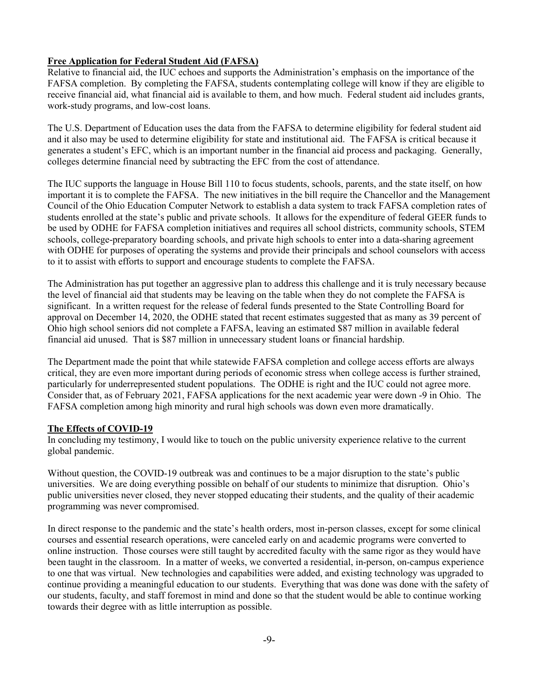#### **Free Application for Federal Student Aid (FAFSA)**

Relative to financial aid, the IUC echoes and supports the Administration's emphasis on the importance of the FAFSA completion. By completing the FAFSA, students contemplating college will know if they are eligible to receive financial aid, what financial aid is available to them, and how much. Federal student aid includes grants, work-study programs, and low-cost loans.

The U.S. Department of Education uses the data from the FAFSA to determine eligibility for federal student aid and it also may be used to determine eligibility for state and institutional aid. The FAFSA is critical because it generates a student's EFC, which is an important number in the financial aid process and packaging. Generally, colleges determine financial need by subtracting the EFC from the cost of attendance.

The IUC supports the language in House Bill 110 to focus students, schools, parents, and the state itself, on how important it is to complete the FAFSA. The new initiatives in the bill require the Chancellor and the Management Council of the Ohio Education Computer Network to establish a data system to track FAFSA completion rates of students enrolled at the state's public and private schools. It allows for the expenditure of federal GEER funds to be used by ODHE for FAFSA completion initiatives and requires all school districts, community schools, STEM schools, college-preparatory boarding schools, and private high schools to enter into a data-sharing agreement with ODHE for purposes of operating the systems and provide their principals and school counselors with access to it to assist with efforts to support and encourage students to complete the FAFSA.

The Administration has put together an aggressive plan to address this challenge and it is truly necessary because the level of financial aid that students may be leaving on the table when they do not complete the FAFSA is significant. In a written request for the release of federal funds presented to the State Controlling Board for approval on December 14, 2020, the ODHE stated that recent estimates suggested that as many as 39 percent of Ohio high school seniors did not complete a FAFSA, leaving an estimated \$87 million in available federal financial aid unused. That is \$87 million in unnecessary student loans or financial hardship.

The Department made the point that while statewide FAFSA completion and college access efforts are always critical, they are even more important during periods of economic stress when college access is further strained, particularly for underrepresented student populations. The ODHE is right and the IUC could not agree more. Consider that, as of February 2021, FAFSA applications for the next academic year were down -9 in Ohio. The FAFSA completion among high minority and rural high schools was down even more dramatically.

#### **The Effects of COVID-19**

In concluding my testimony, I would like to touch on the public university experience relative to the current global pandemic.

Without question, the COVID-19 outbreak was and continues to be a major disruption to the state's public universities. We are doing everything possible on behalf of our students to minimize that disruption. Ohio's public universities never closed, they never stopped educating their students, and the quality of their academic programming was never compromised.

In direct response to the pandemic and the state's health orders, most in-person classes, except for some clinical courses and essential research operations, were canceled early on and academic programs were converted to online instruction. Those courses were still taught by accredited faculty with the same rigor as they would have been taught in the classroom. In a matter of weeks, we converted a residential, in-person, on-campus experience to one that was virtual. New technologies and capabilities were added, and existing technology was upgraded to continue providing a meaningful education to our students. Everything that was done was done with the safety of our students, faculty, and staff foremost in mind and done so that the student would be able to continue working towards their degree with as little interruption as possible.